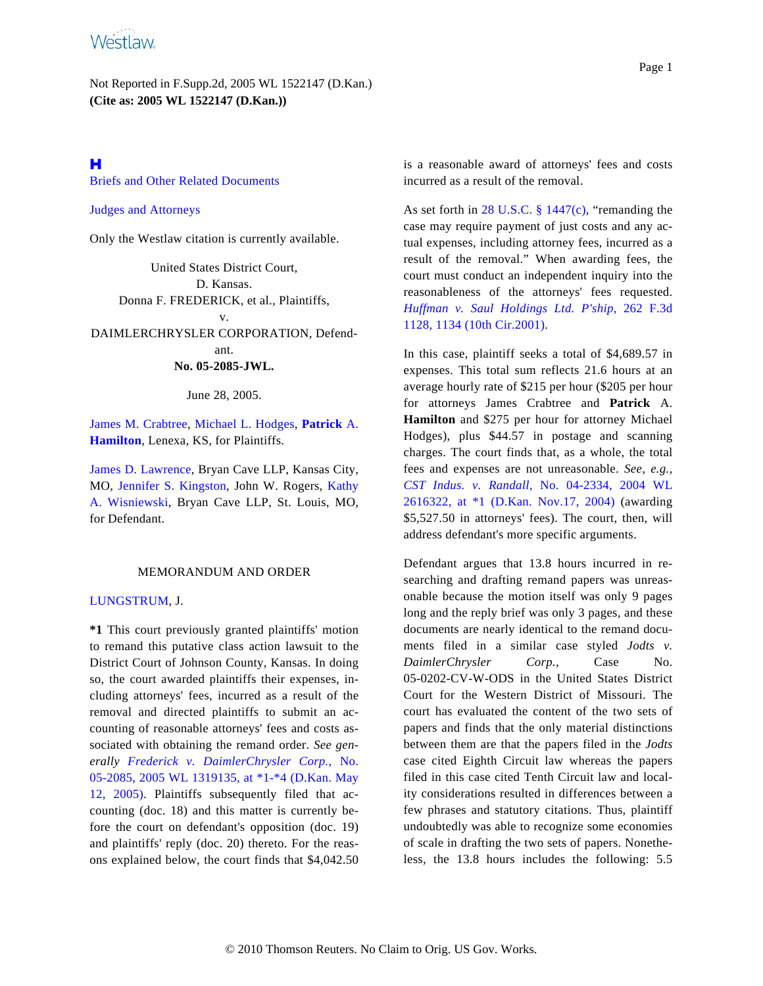Not Reported in F.Supp.2d, 2005 WL 1522147 (D.Kan.) **(Cite as: 2005 WL 1522147 (D.Kan.))**

# <span id="page-0-0"></span>н

[Briefs and Other Related Documents](#page-3-0)

<span id="page-0-1"></span>[Judges and Attorneys](#page-3-1)

Only the Westlaw citation is currently available.

United States District Court, D. Kansas. Donna F. FREDERICK, et al., Plaintiffs, v. DAIMLERCHRYSLER CORPORATION, Defendant. **No. 05-2085-JWL.**

June 28, 2005.

[James M. Crabtree](http://www.westlaw.com/Find/Default.wl?rs=dfa1.0&vr=2.0&DB=PROFILER-WLD&DocName=0176283601&FindType=h), [Michael L. Hodges](http://www.westlaw.com/Find/Default.wl?rs=dfa1.0&vr=2.0&DB=PROFILER-WLD&DocName=0296405501&FindType=h), **[Patrick](http://www.westlaw.com/Find/Default.wl?rs=dfa1.0&vr=2.0&DB=PROFILER-WLD&DocName=0113579001&FindType=h)** A. **[Hamilton](http://www.westlaw.com/Find/Default.wl?rs=dfa1.0&vr=2.0&DB=PROFILER-WLD&DocName=0113579001&FindType=h)**, Lenexa, KS, for Plaintiffs.

[James D. Lawrence](http://www.westlaw.com/Find/Default.wl?rs=dfa1.0&vr=2.0&DB=PROFILER-WLD&DocName=0330273101&FindType=h), Bryan Cave LLP, Kansas City, MO, [Jennifer S. Kingston](http://www.westlaw.com/Find/Default.wl?rs=dfa1.0&vr=2.0&DB=PROFILER-WLD&DocName=0330271601&FindType=h), John W. Rogers, [Kathy](http://www.westlaw.com/Find/Default.wl?rs=dfa1.0&vr=2.0&DB=PROFILER-WLD&DocName=0193172001&FindType=h) [A. Wisniewsk](http://www.westlaw.com/Find/Default.wl?rs=dfa1.0&vr=2.0&DB=PROFILER-WLD&DocName=0193172001&FindType=h)i, Bryan Cave LLP, St. Louis, MO, for Defendant.

## MEMORANDUM AND ORDER

#### [LUNGSTRUM](http://www.westlaw.com/Find/Default.wl?rs=dfa1.0&vr=2.0&DB=PROFILER-WLD&DocName=0215240701&FindType=h), J.

**\*1** This court previously granted plaintiffs' motion to remand this putative class action lawsuit to the District Court of Johnson County, Kansas. In doing so, the court awarded plaintiffs their expenses, including attorneys' fees, incurred as a result of the removal and directed plaintiffs to submit an accounting of reasonable attorneys' fees and costs associated with obtaining the remand order. *See generally [Frederick v. DaimlerChrysler Corp.,](http://www.westlaw.com/Find/Default.wl?rs=dfa1.0&vr=2.0&DB=999&FindType=Y&SerialNum=2006740254)* No. [05-2085, 2005 WL 1319135, at \\*1-\\*4 \(D.Kan. May](http://www.westlaw.com/Find/Default.wl?rs=dfa1.0&vr=2.0&DB=999&FindType=Y&SerialNum=2006740254) [12, 2005](http://www.westlaw.com/Find/Default.wl?rs=dfa1.0&vr=2.0&DB=999&FindType=Y&SerialNum=2006740254)). Plaintiffs subsequently filed that accounting (doc. 18) and this matter is currently before the court on defendant's opposition (doc. 19) and plaintiffs' reply (doc. 20) thereto. For the reasons explained below, the court finds that \$4,042.50 is a reasonable award of attorneys' fees and costs incurred as a result of the removal.

As set forth in [28 U.S.C. § 1447\(c\)](http://www.westlaw.com/Find/Default.wl?rs=dfa1.0&vr=2.0&DB=1000546&DocName=28USCAS1447&FindType=L), "remanding the case may require payment of just costs and any actual expenses, including attorney fees, incurred as a result of the removal." When awarding fees, the court must conduct an independent inquiry into the reasonableness of the attorneys' fees requested. *[Huffman v. Saul Holdings Ltd. P's](http://www.westlaw.com/Find/Default.wl?rs=dfa1.0&vr=2.0&DB=506&FindType=Y&ReferencePositionType=S&SerialNum=2001718547&ReferencePosition=1134)hip,* [262 F.3](http://www.westlaw.com/Find/Default.wl?rs=dfa1.0&vr=2.0&DB=506&FindType=Y&ReferencePositionType=S&SerialNum=2001718547&ReferencePosition=1134)d [1128, 1134 \(10th Cir.2001\)](http://www.westlaw.com/Find/Default.wl?rs=dfa1.0&vr=2.0&DB=506&FindType=Y&ReferencePositionType=S&SerialNum=2001718547&ReferencePosition=1134).

In this case, plaintiff seeks a total of \$4,689.57 in expenses. This total sum reflects 21.6 hours at an average hourly rate of \$215 per hour (\$205 per hour for attorneys James Crabtree and **Patrick** A. **Hamilton** and \$275 per hour for attorney Michael Hodges), plus \$44.57 in postage and scanning charges. The court finds that, as a whole, the total fees and expenses are not unreasonable. *See, e.g., [CST Indus. v. Randa](http://www.westlaw.com/Find/Default.wl?rs=dfa1.0&vr=2.0&DB=999&FindType=Y&SerialNum=2005519467)ll,* [No. 04-2334, 2004 W](http://www.westlaw.com/Find/Default.wl?rs=dfa1.0&vr=2.0&DB=999&FindType=Y&SerialNum=2005519467)L [2616322, at \\*1 \(D.Kan. Nov.17, 200](http://www.westlaw.com/Find/Default.wl?rs=dfa1.0&vr=2.0&DB=999&FindType=Y&SerialNum=2005519467)4) (awarding \$5,527.50 in attorneys' fees). The court, then, will address defendant's more specific arguments.

Defendant argues that 13.8 hours incurred in researching and drafting remand papers was unreasonable because the motion itself was only 9 pages long and the reply brief was only 3 pages, and these documents are nearly identical to the remand documents filed in a similar case styled *Jodts v. DaimlerChrysler Corp.,* Case No. 05-0202-CV-W-ODS in the United States District Court for the Western District of Missouri. The court has evaluated the content of the two sets of papers and finds that the only material distinctions between them are that the papers filed in the *Jodts* case cited Eighth Circuit law whereas the papers filed in this case cited Tenth Circuit law and locality considerations resulted in differences between a few phrases and statutory citations. Thus, plaintiff undoubtedly was able to recognize some economies of scale in drafting the two sets of papers. Nonetheless, the 13.8 hours includes the following: 5.5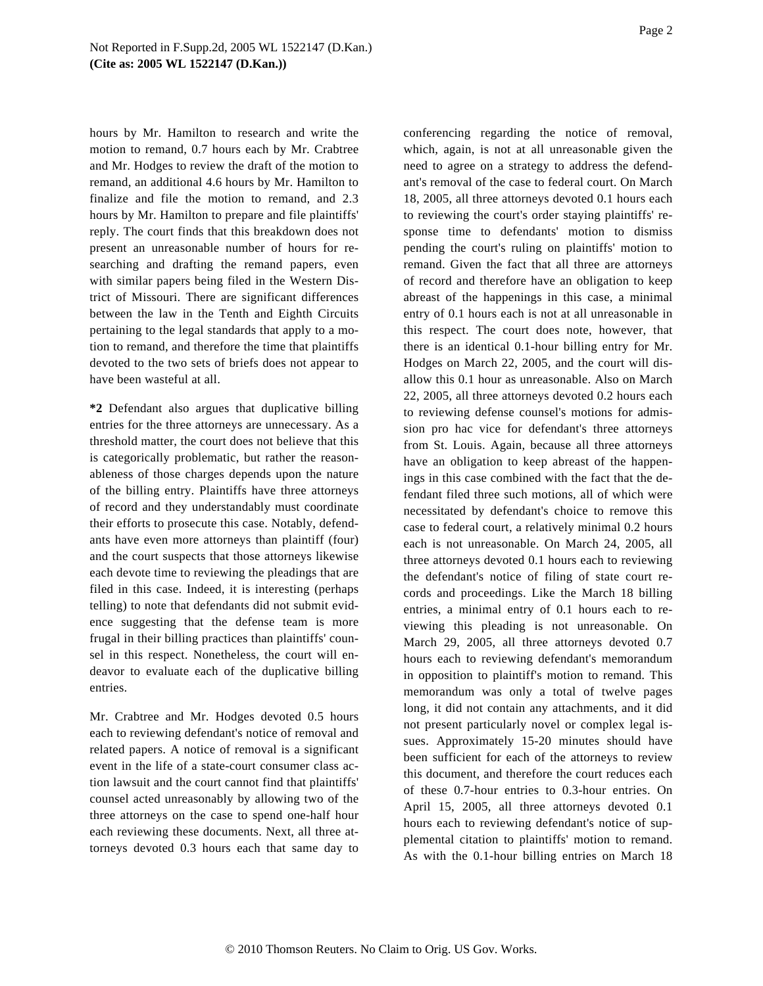hours by Mr. Hamilton to research and write the motion to remand, 0.7 hours each by Mr. Crabtree and Mr. Hodges to review the draft of the motion to remand, an additional 4.6 hours by Mr. Hamilton to finalize and file the motion to remand, and 2.3 hours by Mr. Hamilton to prepare and file plaintiffs' reply. The court finds that this breakdown does not present an unreasonable number of hours for researching and drafting the remand papers, even with similar papers being filed in the Western District of Missouri. There are significant differences between the law in the Tenth and Eighth Circuits pertaining to the legal standards that apply to a motion to remand, and therefore the time that plaintiffs devoted to the two sets of briefs does not appear to have been wasteful at all.

**\*2** Defendant also argues that duplicative billing entries for the three attorneys are unnecessary. As a threshold matter, the court does not believe that this is categorically problematic, but rather the reasonableness of those charges depends upon the nature of the billing entry. Plaintiffs have three attorneys of record and they understandably must coordinate their efforts to prosecute this case. Notably, defendants have even more attorneys than plaintiff (four) and the court suspects that those attorneys likewise each devote time to reviewing the pleadings that are filed in this case. Indeed, it is interesting (perhaps telling) to note that defendants did not submit evidence suggesting that the defense team is more frugal in their billing practices than plaintiffs' counsel in this respect. Nonetheless, the court will endeavor to evaluate each of the duplicative billing entries.

Mr. Crabtree and Mr. Hodges devoted 0.5 hours each to reviewing defendant's notice of removal and related papers. A notice of removal is a significant event in the life of a state-court consumer class action lawsuit and the court cannot find that plaintiffs' counsel acted unreasonably by allowing two of the three attorneys on the case to spend one-half hour each reviewing these documents. Next, all three attorneys devoted 0.3 hours each that same day to

conferencing regarding the notice of removal, which, again, is not at all unreasonable given the need to agree on a strategy to address the defendant's removal of the case to federal court. On March 18, 2005, all three attorneys devoted 0.1 hours each to reviewing the court's order staying plaintiffs' response time to defendants' motion to dismiss pending the court's ruling on plaintiffs' motion to remand. Given the fact that all three are attorneys of record and therefore have an obligation to keep abreast of the happenings in this case, a minimal entry of 0.1 hours each is not at all unreasonable in this respect. The court does note, however, that there is an identical 0.1-hour billing entry for Mr. Hodges on March 22, 2005, and the court will disallow this 0.1 hour as unreasonable. Also on March 22, 2005, all three attorneys devoted 0.2 hours each to reviewing defense counsel's motions for admission pro hac vice for defendant's three attorneys from St. Louis. Again, because all three attorneys have an obligation to keep abreast of the happenings in this case combined with the fact that the defendant filed three such motions, all of which were necessitated by defendant's choice to remove this case to federal court, a relatively minimal 0.2 hours each is not unreasonable. On March 24, 2005, all three attorneys devoted 0.1 hours each to reviewing the defendant's notice of filing of state court records and proceedings. Like the March 18 billing entries, a minimal entry of 0.1 hours each to reviewing this pleading is not unreasonable. On March 29, 2005, all three attorneys devoted 0.7 hours each to reviewing defendant's memorandum in opposition to plaintiff's motion to remand. This memorandum was only a total of twelve pages long, it did not contain any attachments, and it did not present particularly novel or complex legal issues. Approximately 15-20 minutes should have been sufficient for each of the attorneys to review this document, and therefore the court reduces each of these 0.7-hour entries to 0.3-hour entries. On April 15, 2005, all three attorneys devoted 0.1 hours each to reviewing defendant's notice of supplemental citation to plaintiffs' motion to remand. As with the 0.1-hour billing entries on March 18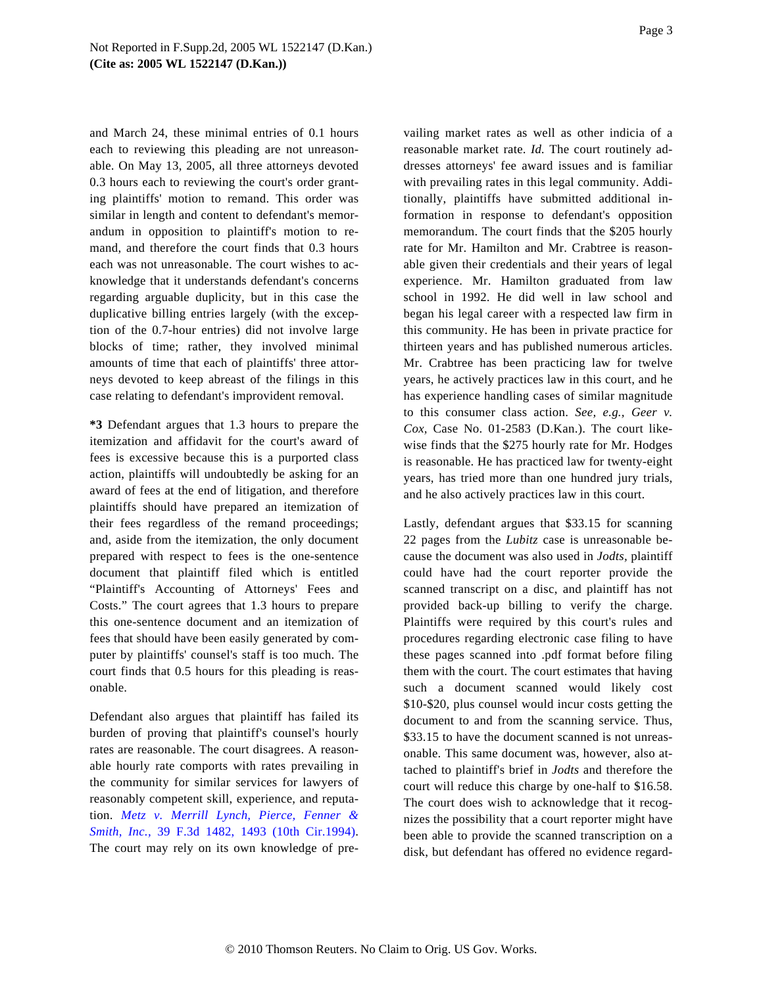and March 24, these minimal entries of 0.1 hours each to reviewing this pleading are not unreasonable. On May 13, 2005, all three attorneys devoted 0.3 hours each to reviewing the court's order granting plaintiffs' motion to remand. This order was similar in length and content to defendant's memorandum in opposition to plaintiff's motion to remand, and therefore the court finds that 0.3 hours each was not unreasonable. The court wishes to acknowledge that it understands defendant's concerns regarding arguable duplicity, but in this case the duplicative billing entries largely (with the exception of the 0.7-hour entries) did not involve large blocks of time; rather, they involved minimal amounts of time that each of plaintiffs' three attorneys devoted to keep abreast of the filings in this case relating to defendant's improvident removal.

**\*3** Defendant argues that 1.3 hours to prepare the itemization and affidavit for the court's award of fees is excessive because this is a purported class action, plaintiffs will undoubtedly be asking for an award of fees at the end of litigation, and therefore plaintiffs should have prepared an itemization of their fees regardless of the remand proceedings; and, aside from the itemization, the only document prepared with respect to fees is the one-sentence document that plaintiff filed which is entitled "Plaintiff's Accounting of Attorneys' Fees and Costs." The court agrees that 1.3 hours to prepare this one-sentence document and an itemization of fees that should have been easily generated by computer by plaintiffs' counsel's staff is too much. The court finds that 0.5 hours for this pleading is reasonable.

Defendant also argues that plaintiff has failed its burden of proving that plaintiff's counsel's hourly rates are reasonable. The court disagrees. A reasonable hourly rate comports with rates prevailing in the community for similar services for lawyers of reasonably competent skill, experience, and reputation. *[Metz v. Merrill Lynch, Pierce, Fenn](http://www.westlaw.com/Find/Default.wl?rs=dfa1.0&vr=2.0&DB=506&FindType=Y&ReferencePositionType=S&SerialNum=1994224194&ReferencePosition=1493)er & [Smith, Inc.](http://www.westlaw.com/Find/Default.wl?rs=dfa1.0&vr=2.0&DB=506&FindType=Y&ReferencePositionType=S&SerialNum=1994224194&ReferencePosition=1493),* [39 F.3d 1482, 1493 \(10th Cir.19](http://www.westlaw.com/Find/Default.wl?rs=dfa1.0&vr=2.0&DB=506&FindType=Y&ReferencePositionType=S&SerialNum=1994224194&ReferencePosition=1493)94). The court may rely on its own knowledge of prevailing market rates as well as other indicia of a reasonable market rate. *Id.* The court routinely addresses attorneys' fee award issues and is familiar with prevailing rates in this legal community. Additionally, plaintiffs have submitted additional information in response to defendant's opposition memorandum. The court finds that the \$205 hourly rate for Mr. Hamilton and Mr. Crabtree is reasonable given their credentials and their years of legal experience. Mr. Hamilton graduated from law school in 1992. He did well in law school and began his legal career with a respected law firm in this community. He has been in private practice for thirteen years and has published numerous articles. Mr. Crabtree has been practicing law for twelve years, he actively practices law in this court, and he has experience handling cases of similar magnitude to this consumer class action. *See, e.g., Geer v. Cox,* Case No. 01-2583 (D.Kan.). The court likewise finds that the \$275 hourly rate for Mr. Hodges is reasonable. He has practiced law for twenty-eight years, has tried more than one hundred jury trials, and he also actively practices law in this court.

Lastly, defendant argues that \$33.15 for scanning 22 pages from the *Lubitz* case is unreasonable because the document was also used in *Jodts,* plaintiff could have had the court reporter provide the scanned transcript on a disc, and plaintiff has not provided back-up billing to verify the charge. Plaintiffs were required by this court's rules and procedures regarding electronic case filing to have these pages scanned into .pdf format before filing them with the court. The court estimates that having such a document scanned would likely cost \$10-\$20, plus counsel would incur costs getting the document to and from the scanning service. Thus, \$33.15 to have the document scanned is not unreasonable. This same document was, however, also attached to plaintiff's brief in *Jodts* and therefore the court will reduce this charge by one-half to \$16.58. The court does wish to acknowledge that it recognizes the possibility that a court reporter might have been able to provide the scanned transcription on a disk, but defendant has offered no evidence regard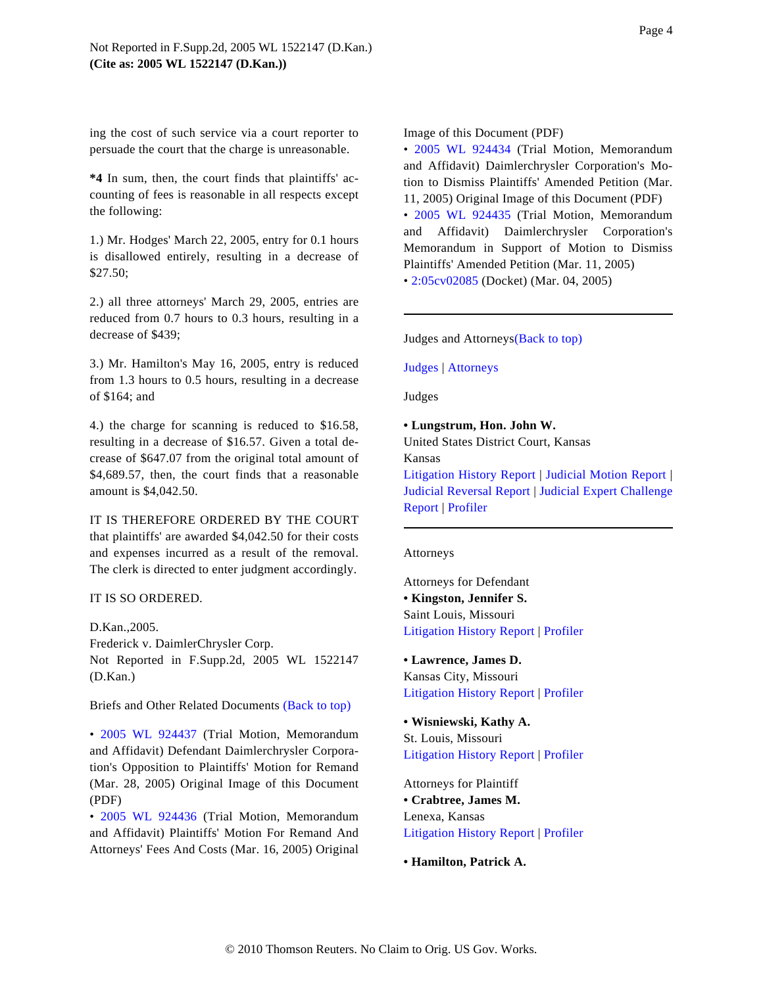ing the cost of such service via a court reporter to persuade the court that the charge is unreasonable.

**\*4** In sum, then, the court finds that plaintiffs' accounting of fees is reasonable in all respects except the following:

1.) Mr. Hodges' March 22, 2005, entry for 0.1 hours is disallowed entirely, resulting in a decrease of \$27.50;

<span id="page-3-1"></span>2.) all three attorneys' March 29, 2005, entries are reduced from 0.7 hours to 0.3 hours, resulting in a decrease of \$439;

<span id="page-3-2"></span>3.) Mr. Hamilton's May 16, 2005, entry is reduced from 1.3 hours to 0.5 hours, resulting in a decrease of \$164; and

4.) the charge for scanning is reduced to \$16.58, resulting in a decrease of \$16.57. Given a total decrease of \$647.07 from the original total amount of \$4,689.57, then, the court finds that a reasonable amount is \$4,042.50.

<span id="page-3-3"></span>IT IS THEREFORE ORDERED BY THE COURT that plaintiffs' are awarded \$4,042.50 for their costs and expenses incurred as a result of the removal. The clerk is directed to enter judgment accordingly.

## IT IS SO ORDERED.

D.Kan.,2005. Frederick v. DaimlerChrysler Corp. Not Reported in F.Supp.2d, 2005 WL 1522147 (D.Kan.)

<span id="page-3-0"></span>Briefs and Other Related Documents [\(Back to top\)](#page-0-0)

• [2005 WL 92443](http://www.westlaw.com/Find/Default.wl?rs=dfa1.0&vr=2.0&FindType=Y&SerialNum=2006511505)7 (Trial Motion, Memorandum and Affidavit) Defendant Daimlerchrysler Corporation's Opposition to Plaintiffs' Motion for Remand (Mar. 28, 2005) Original Image of this Document (PDF)

• [2005 WL 92443](http://www.westlaw.com/Find/Default.wl?rs=dfa1.0&vr=2.0&FindType=Y&SerialNum=2006511504)6 (Trial Motion, Memorandum and Affidavit) Plaintiffs' Motion For Remand And Attorneys' Fees And Costs (Mar. 16, 2005) Original Image of this Document (PDF)

• [2005 WL 92443](http://www.westlaw.com/Find/Default.wl?rs=dfa1.0&vr=2.0&FindType=Y&SerialNum=2006511502)4 (Trial Motion, Memorandum and Affidavit) Daimlerchrysler Corporation's Motion to Dismiss Plaintiffs' Amended Petition (Mar. 11, 2005) Original Image of this Document (PDF) • [2005 WL 92443](http://www.westlaw.com/Find/Default.wl?rs=dfa1.0&vr=2.0&FindType=Y&SerialNum=2006511503)5 (Trial Motion, Memorandum

and Affidavit) Daimlerchrysler Corporation's Memorandum in Support of Motion to Dismiss Plaintiffs' Amended Petition (Mar. 11, 2005)

• [2:05cv02085](http://www.westlaw.com/Find/Default.wl?rs=dfa1.0&vr=2.0&DB=177006&DocName=LINK-GUID%28ID023393DC6B111D895DCB1B540FDB8EB%29&FindType=%23) (Docket) (Mar. 04, 2005)

Judges and [Attorneys\(Back to top\)](#page-0-1)

[Judges](#page-3-2) | [Attorneys](#page-3-3)

Judges

## **• Lungstrum, Hon. John W.**

United States District Court, Kansas Kansas

[Litigation History Repor](http://www.westlaw.com/Find/Default.wl?rs=dfa1.0&vr=2.0&DB=PROFILER-WLD&DocName=0215240701&FindType=h&cnt=LHRP)t | [Judicial Motion Repor](http://www.westlaw.com/Find/Default.wl?rs=dfa1.0&vr=2.0&DB=PROFILER-WLD&DocName=0215240701&FindType=h&cnt=JMTP)t | [Judicial Reversal Report](http://www.westlaw.com/Find/Default.wl?rs=dfa1.0&vr=2.0&DB=PROFILER-WLD&DocName=0215240701&FindType=h&cnt=JRTP) | [Judicial Expert Challenge](http://www.westlaw.com/Find/Default.wl?rs=dfa1.0&vr=2.0&DB=PROFILER-WLD&DocName=0215240701&FindType=h&cnt=EICR) [Report](http://www.westlaw.com/Find/Default.wl?rs=dfa1.0&vr=2.0&DB=PROFILER-WLD&DocName=0215240701&FindType=h&cnt=EICR) | [Profiler](http://www.westlaw.com/Find/Default.wl?rs=dfa1.0&vr=2.0&DB=PROFILER-WLD&DocName=0215240701&FindType=h)

#### Attorneys

Attorneys for Defendant **• Kingston, Jennifer S.** Saint Louis, Missouri [Litigation History Report](http://www.westlaw.com/Find/Default.wl?rs=dfa1.0&vr=2.0&DB=PROFILER-WLD&DocName=0330271601&FindType=h&cnt=LHRP) | [Profiler](http://www.westlaw.com/Find/Default.wl?rs=dfa1.0&vr=2.0&DB=PROFILER-WLD&DocName=0330271601&FindType=h)

**• Lawrence, James D.** Kansas City, Missouri [Litigation History Report](http://www.westlaw.com/Find/Default.wl?rs=dfa1.0&vr=2.0&DB=PROFILER-WLD&DocName=0330273101&FindType=h&cnt=LHRP) | [Profiler](http://www.westlaw.com/Find/Default.wl?rs=dfa1.0&vr=2.0&DB=PROFILER-WLD&DocName=0330273101&FindType=h)

**• Wisniewski, Kathy A.** St. Louis, Missouri [Litigation History Report](http://www.westlaw.com/Find/Default.wl?rs=dfa1.0&vr=2.0&DB=PROFILER-WLD&DocName=0193172001&FindType=h&cnt=LHRP) | [Profiler](http://www.westlaw.com/Find/Default.wl?rs=dfa1.0&vr=2.0&DB=PROFILER-WLD&DocName=0193172001&FindType=h)

Attorneys for Plaintiff **• Crabtree, James M.** Lenexa, Kansas

[Litigation History Report](http://www.westlaw.com/Find/Default.wl?rs=dfa1.0&vr=2.0&DB=PROFILER-WLD&DocName=0176283601&FindType=h&cnt=LHRP) | [Profiler](http://www.westlaw.com/Find/Default.wl?rs=dfa1.0&vr=2.0&DB=PROFILER-WLD&DocName=0176283601&FindType=h)

**• Hamilton, Patrick A.**